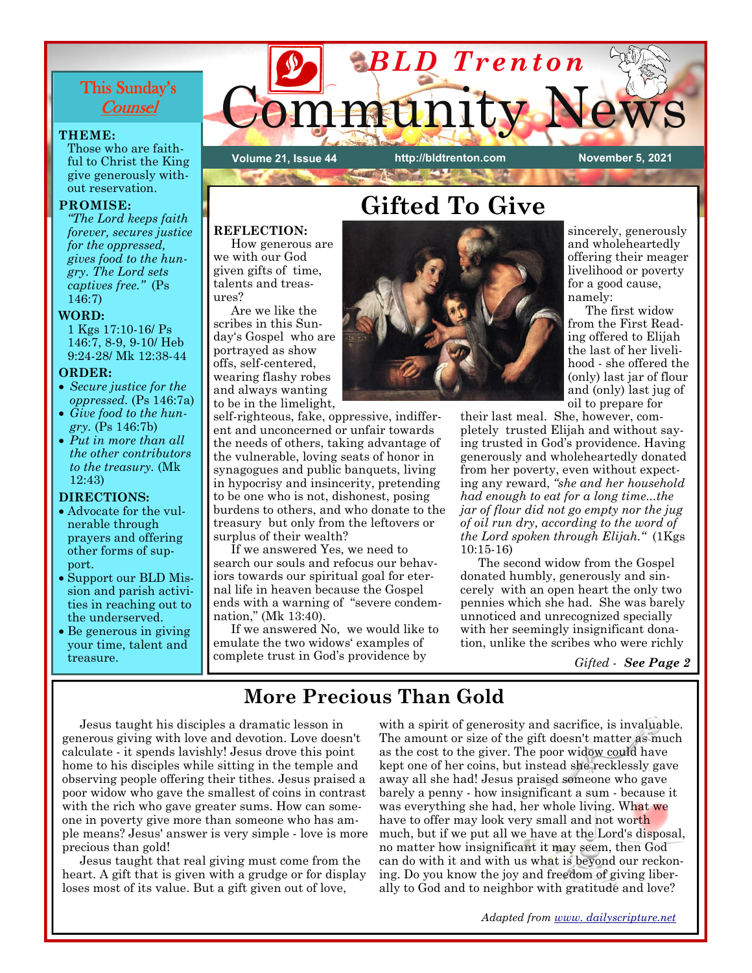## This Sunday's **Counsel**

#### **THEME:**

Those who are faithful to Christ the King give generously without reservation.

#### **PROMISE:**

*"The Lord keeps faith forever, secures justice for the oppressed, gives food to the hungry. The Lord sets captives free."* (Ps 146:7)

#### **WORD:**

1 Kgs 17:10-16/ Ps 146:7, 8-9, 9-10/ Heb 9:24-28/ Mk 12:38-44

#### **ORDER:**

- *Secure justice for the oppressed.* (Ps 146:7a)
- *Give food to the hungry.* (Ps 146:7b)
- *Put in more than all the other contributors to the treasury.* (Mk 12:43)

### **DIRECTIONS:**

- Advocate for the vulnerable through prayers and offering other forms of support.
- Support our BLD Mission and parish activities in reaching out to the underserved.
- Be generous in giving your time, talent and treasure.



**Volume 21, Issue 44** 

**REFLECTION:** 

we with our God given gifts of time, talents and treas-

 Are we like the scribes in this Sun-

surplus of their wealth?

nation," (Mk 13:40).

self-righteous, fake, oppressive, indifferent and unconcerned or unfair towards the needs of others, taking advantage of the vulnerable, loving seats of honor in synagogues and public banquets, living in hypocrisy and insincerity, pretending to be one who is not, dishonest, posing burdens to others, and who donate to the treasury but only from the leftovers or

 If we answered Yes, we need to search our souls and refocus our behaviors towards our spiritual goal for eternal life in heaven because the Gospel ends with a warning of "severe condem-

 If we answered No, we would like to emulate the two widows' examples of complete trust in God's providence by

portrayed as show offs, self-centered, wearing flashy robes and always wanting

ures?

**http://bldtrenton.com November 5, 2021** 

## **Gifted To Give**



sincerely, generously and wholeheartedly offering their meager livelihood or poverty for a good cause, namely:

 The first widow from the First Reading offered to Elijah the last of her livelihood - she offered the (only) last jar of flour and (only) last jug of oil to prepare for

their last meal. She, however, completely trusted Elijah and without saying trusted in God's providence. Having generously and wholeheartedly donated from her poverty, even without expecting any reward, *"she and her household had enough to eat for a long time...the jar of flour did not go empty nor the jug of oil run dry, according to the word of the Lord spoken through Elijah."* (1Kgs 10:15-16)

 The second widow from the Gospel donated humbly, generously and sincerely with an open heart the only two pennies which she had. She was barely unnoticed and unrecognized specially with her seemingly insignificant donation, unlike the scribes who were richly

*Gifted - See Page 2*

## **More Precious Than Gold**

 Jesus taught his disciples a dramatic lesson in generous giving with love and devotion. Love doesn't calculate - it spends lavishly! Jesus drove this point home to his disciples while sitting in the temple and observing people offering their tithes. Jesus praised a poor widow who gave the smallest of coins in contrast with the rich who gave greater sums. How can someone in poverty give more than someone who has ample means? Jesus' answer is very simple - love is more precious than gold!

 Jesus taught that real giving must come from the heart. A gift that is given with a grudge or for display loses most of its value. But a gift given out of love,

with a spirit of generosity and sacrifice, is invaluable. The amount or size of the gift doesn't matter as much as the cost to the giver. The poor widow could have kept one of her coins, but instead she recklessly gave away all she had! Jesus praised someone who gave barely a penny - how insignificant a sum - because it was everything she had, her whole living. What we have to offer may look very small and not worth much, but if we put all we have at the Lord's disposal, no matter how insignificant it may seem, then God can do with it and with us what is beyond our reckoning. Do you know the joy and freedom of giving liberally to God and to neighbor with gratitude and love?

*Adapted from www. dailyscripture.net*